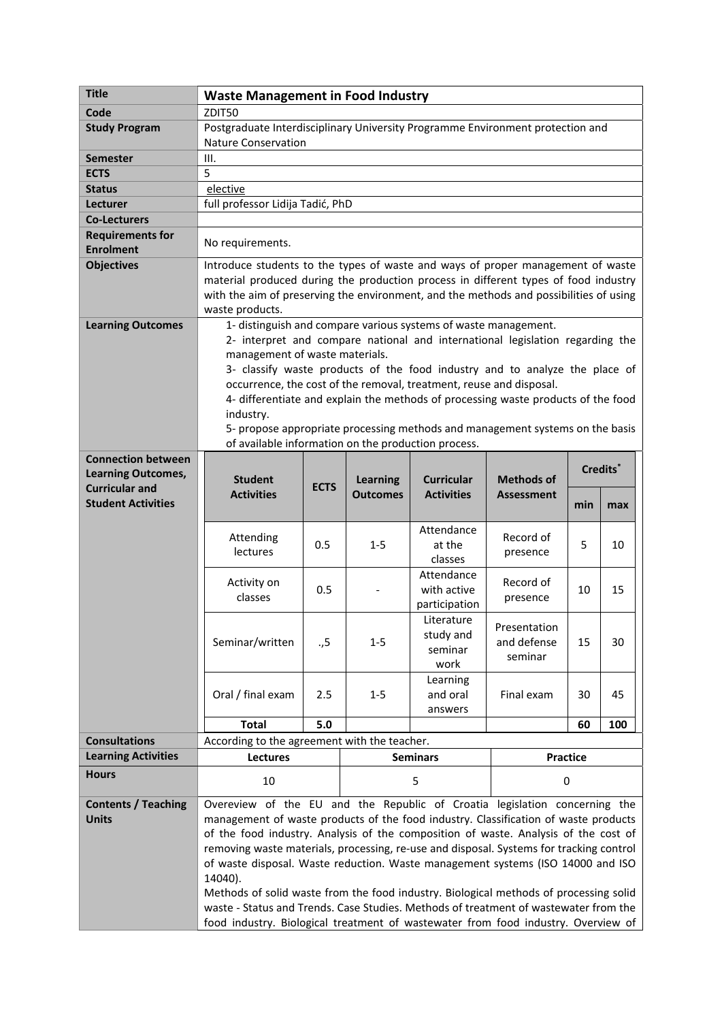| <b>Title</b>                                | <b>Waste Management in Food Industry</b>                                                                                                                                  |             |                 |                   |                             |     |     |  |
|---------------------------------------------|---------------------------------------------------------------------------------------------------------------------------------------------------------------------------|-------------|-----------------|-------------------|-----------------------------|-----|-----|--|
| Code                                        | ZDIT50                                                                                                                                                                    |             |                 |                   |                             |     |     |  |
| <b>Study Program</b>                        | Postgraduate Interdisciplinary University Programme Environment protection and<br><b>Nature Conservation</b>                                                              |             |                 |                   |                             |     |     |  |
| <b>Semester</b>                             | III.                                                                                                                                                                      |             |                 |                   |                             |     |     |  |
| <b>ECTS</b>                                 | 5                                                                                                                                                                         |             |                 |                   |                             |     |     |  |
| <b>Status</b>                               | elective                                                                                                                                                                  |             |                 |                   |                             |     |     |  |
| Lecturer                                    | full professor Lidija Tadić, PhD                                                                                                                                          |             |                 |                   |                             |     |     |  |
| <b>Co-Lecturers</b>                         |                                                                                                                                                                           |             |                 |                   |                             |     |     |  |
| <b>Requirements for</b><br><b>Enrolment</b> | No requirements.                                                                                                                                                          |             |                 |                   |                             |     |     |  |
| <b>Objectives</b>                           | Introduce students to the types of waste and ways of proper management of waste                                                                                           |             |                 |                   |                             |     |     |  |
|                                             | material produced during the production process in different types of food industry                                                                                       |             |                 |                   |                             |     |     |  |
|                                             | with the aim of preserving the environment, and the methods and possibilities of using                                                                                    |             |                 |                   |                             |     |     |  |
|                                             | waste products.                                                                                                                                                           |             |                 |                   |                             |     |     |  |
| <b>Learning Outcomes</b>                    | 1- distinguish and compare various systems of waste management.                                                                                                           |             |                 |                   |                             |     |     |  |
|                                             | 2- interpret and compare national and international legislation regarding the                                                                                             |             |                 |                   |                             |     |     |  |
|                                             | management of waste materials.                                                                                                                                            |             |                 |                   |                             |     |     |  |
|                                             | 3- classify waste products of the food industry and to analyze the place of                                                                                               |             |                 |                   |                             |     |     |  |
|                                             | occurrence, the cost of the removal, treatment, reuse and disposal.                                                                                                       |             |                 |                   |                             |     |     |  |
|                                             | 4- differentiate and explain the methods of processing waste products of the food                                                                                         |             |                 |                   |                             |     |     |  |
|                                             | industry.                                                                                                                                                                 |             |                 |                   |                             |     |     |  |
|                                             | 5- propose appropriate processing methods and management systems on the basis                                                                                             |             |                 |                   |                             |     |     |  |
|                                             | of available information on the production process.                                                                                                                       |             |                 |                   |                             |     |     |  |
| <b>Connection between</b>                   | Credits <sup>*</sup>                                                                                                                                                      |             |                 |                   |                             |     |     |  |
| <b>Learning Outcomes,</b>                   | <b>Student</b>                                                                                                                                                            |             | <b>Learning</b> | <b>Curricular</b> | <b>Methods of</b>           |     |     |  |
| <b>Curricular and</b>                       | <b>Activities</b>                                                                                                                                                         | <b>ECTS</b> | <b>Outcomes</b> | <b>Activities</b> | <b>Assessment</b>           |     |     |  |
| <b>Student Activities</b>                   |                                                                                                                                                                           |             |                 |                   |                             | min | max |  |
|                                             |                                                                                                                                                                           |             |                 | Attendance        |                             |     |     |  |
|                                             | Attending                                                                                                                                                                 | 0.5         | $1 - 5$         | at the            | Record of                   | 5   | 10  |  |
|                                             | lectures                                                                                                                                                                  |             |                 | classes           | presence                    |     |     |  |
|                                             |                                                                                                                                                                           |             |                 | Attendance        |                             |     |     |  |
|                                             | Activity on                                                                                                                                                               | 0.5         |                 | with active       | Record of                   | 10  | 15  |  |
|                                             | classes                                                                                                                                                                   |             |                 | participation     | presence                    |     |     |  |
|                                             |                                                                                                                                                                           |             |                 | Literature        |                             |     |     |  |
|                                             | Seminar/written                                                                                                                                                           |             | $1 - 5$         | study and         | Presentation<br>and defense | 15  | 30  |  |
|                                             |                                                                                                                                                                           | .,5         |                 | seminar           | seminar                     |     |     |  |
|                                             |                                                                                                                                                                           |             |                 | work              |                             |     |     |  |
|                                             |                                                                                                                                                                           |             |                 | Learning          |                             |     |     |  |
|                                             | Oral / final exam                                                                                                                                                         | 2.5         | $1 - 5$         | and oral          | Final exam                  | 30  | 45  |  |
|                                             |                                                                                                                                                                           |             |                 | answers           |                             |     |     |  |
|                                             | <b>Total</b>                                                                                                                                                              | 5.0         |                 |                   |                             | 60  | 100 |  |
| <b>Consultations</b>                        | According to the agreement with the teacher.                                                                                                                              |             |                 |                   |                             |     |     |  |
| <b>Learning Activities</b>                  | <b>Lectures</b>                                                                                                                                                           |             | <b>Seminars</b> |                   | <b>Practice</b>             |     |     |  |
| <b>Hours</b>                                | 10                                                                                                                                                                        |             | 5               |                   | $\mathbf 0$                 |     |     |  |
| <b>Contents / Teaching</b>                  | Overeview of the EU and the Republic of Croatia legislation concerning the                                                                                                |             |                 |                   |                             |     |     |  |
| <b>Units</b>                                | management of waste products of the food industry. Classification of waste products                                                                                       |             |                 |                   |                             |     |     |  |
|                                             | of the food industry. Analysis of the composition of waste. Analysis of the cost of                                                                                       |             |                 |                   |                             |     |     |  |
|                                             | removing waste materials, processing, re-use and disposal. Systems for tracking control                                                                                   |             |                 |                   |                             |     |     |  |
|                                             | of waste disposal. Waste reduction. Waste management systems (ISO 14000 and ISO                                                                                           |             |                 |                   |                             |     |     |  |
|                                             | 14040).                                                                                                                                                                   |             |                 |                   |                             |     |     |  |
|                                             | Methods of solid waste from the food industry. Biological methods of processing solid                                                                                     |             |                 |                   |                             |     |     |  |
|                                             | waste - Status and Trends. Case Studies. Methods of treatment of wastewater from the<br>food industry. Biological treatment of wastewater from food industry. Overview of |             |                 |                   |                             |     |     |  |
|                                             |                                                                                                                                                                           |             |                 |                   |                             |     |     |  |